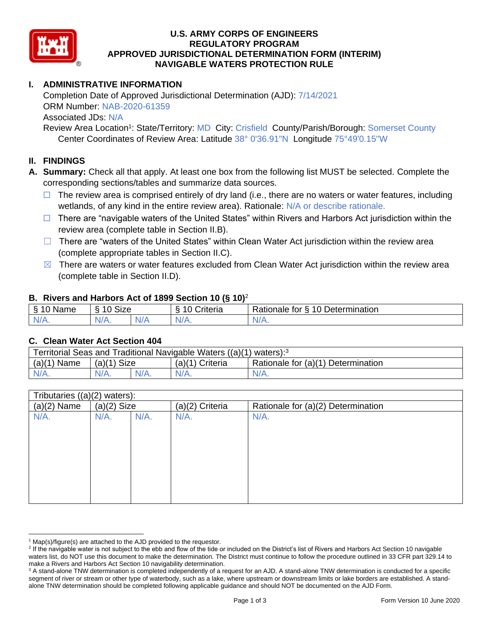

### **U.S. ARMY CORPS OF ENGINEERS REGULATORY PROGRAM APPROVED JURISDICTIONAL DETERMINATION FORM (INTERIM) NAVIGABLE WATERS PROTECTION RULE**

## **I. ADMINISTRATIVE INFORMATION**

Completion Date of Approved Jurisdictional Determination (AJD): 7/14/2021 ORM Number: NAB-2020-61359 Associated JDs: N/A

Review Area Location<sup>1</sup>: State/Territory: MD City: Crisfield County/Parish/Borough: Somerset County Center Coordinates of Review Area: Latitude 38° 0'36.91"N Longitude 75°49'0.15"W

### **II. FINDINGS**

- **A. Summary:** Check all that apply. At least one box from the following list MUST be selected. Complete the corresponding sections/tables and summarize data sources.
	- $\Box$  The review area is comprised entirely of dry land (i.e., there are no waters or water features, including wetlands, of any kind in the entire review area). Rationale: N/A or describe rationale.
	- $\Box$  There are "navigable waters of the United States" within Rivers and Harbors Act jurisdiction within the review area (complete table in Section II.B).
	- $\Box$  There are "waters of the United States" within Clean Water Act jurisdiction within the review area (complete appropriate tables in Section II.C).
	- $\boxtimes$  There are waters or water features excluded from Clean Water Act jurisdiction within the review area (complete table in Section II.D).

#### **B. Rivers and Harbors Act of 1899 Section 10 (§ 10)**<sup>2</sup>

| <sub>S</sub><br>$\sim$<br>Name<br>u | <b>Size</b><br>$\sim$<br>. .<br>c |     | $\sim$<br>$\overline{\phantom{a}}$<br>`riteria | 10<br>Determination<br>-<br>∢ationale<br>tor |
|-------------------------------------|-----------------------------------|-----|------------------------------------------------|----------------------------------------------|
| $N/A$ .                             | $N/A$ .                           | N/F | N/A.                                           | N/A.                                         |

#### **C. Clean Water Act Section 404**

| Territorial Seas and Traditional Navigable Waters ((a)(1)<br>` waters): <sup>3</sup> |                |  |                   |                                    |  |  |
|--------------------------------------------------------------------------------------|----------------|--|-------------------|------------------------------------|--|--|
| (a)(1)<br>Name                                                                       | Size<br>(a)(1) |  | $(a)(1)$ Criteria | Rationale for (a)(1) Determination |  |  |
| $N/A$ .                                                                              | $N/A$ .        |  | $N/A$ .           | N/A.                               |  |  |

| Tributaries ((a)(2) waters): |               |         |                 |                                    |  |
|------------------------------|---------------|---------|-----------------|------------------------------------|--|
| $(a)(2)$ Name                | $(a)(2)$ Size |         | (a)(2) Criteria | Rationale for (a)(2) Determination |  |
| N/A.                         | $N/A$ .       | $N/A$ . | $N/A$ .         | $N/A$ .                            |  |
|                              |               |         |                 |                                    |  |
|                              |               |         |                 |                                    |  |
|                              |               |         |                 |                                    |  |
|                              |               |         |                 |                                    |  |
|                              |               |         |                 |                                    |  |
|                              |               |         |                 |                                    |  |
|                              |               |         |                 |                                    |  |
|                              |               |         |                 |                                    |  |
|                              |               |         |                 |                                    |  |

 $1$  Map(s)/figure(s) are attached to the AJD provided to the requestor.

<sup>&</sup>lt;sup>2</sup> If the navigable water is not subject to the ebb and flow of the tide or included on the District's list of Rivers and Harbors Act Section 10 navigable waters list, do NOT use this document to make the determination. The District must continue to follow the procedure outlined in 33 CFR part 329.14 to make a Rivers and Harbors Act Section 10 navigability determination.

<sup>&</sup>lt;sup>3</sup> A stand-alone TNW determination is completed independently of a request for an AJD. A stand-alone TNW determination is conducted for a specific segment of river or stream or other type of waterbody, such as a lake, where upstream or downstream limits or lake borders are established. A standalone TNW determination should be completed following applicable guidance and should NOT be documented on the AJD Form.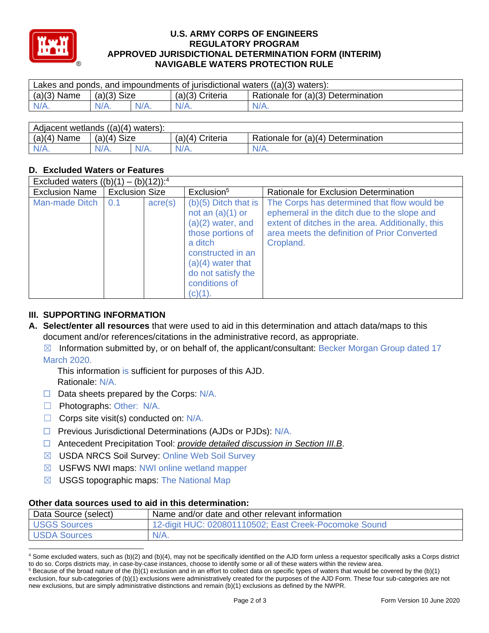

### **U.S. ARMY CORPS OF ENGINEERS REGULATORY PROGRAM APPROVED JURISDICTIONAL DETERMINATION FORM (INTERIM) NAVIGABLE WATERS PROTECTION RULE**

| $(a)(3)$ Name<br>Rationale for (a)(3) Determination<br>(a)(3) Size<br>(a)(3) Criteria<br>$N/A$ .<br>$N/A$ .<br>$N/A$ .<br>$N/A$ .<br>$N/A$ . | Lakes and ponds, and impoundments of jurisdictional waters $((a)(3)$ waters): |  |  |  |  |  |  |
|----------------------------------------------------------------------------------------------------------------------------------------------|-------------------------------------------------------------------------------|--|--|--|--|--|--|
|                                                                                                                                              |                                                                               |  |  |  |  |  |  |
|                                                                                                                                              |                                                                               |  |  |  |  |  |  |

| Adjacent wetlands ((a)(4) waters): |               |  |                   |                                    |  |  |
|------------------------------------|---------------|--|-------------------|------------------------------------|--|--|
| $(a)(4)$ Name                      | $(a)(4)$ Size |  | $(a)(4)$ Criteria | Rationale for (a)(4) Determination |  |  |
| $N/A$ .                            | $N/A$ .       |  | $N/A$ .           | 'V/A.                              |  |  |

# **D. Excluded Waters or Features**

| Excluded waters $((b)(1) - (b)(12))$ : <sup>4</sup> |                       |                  |                                                                                                                                                                                                   |                                                                                                                                                                                                              |  |
|-----------------------------------------------------|-----------------------|------------------|---------------------------------------------------------------------------------------------------------------------------------------------------------------------------------------------------|--------------------------------------------------------------------------------------------------------------------------------------------------------------------------------------------------------------|--|
| <b>Exclusion Name</b>                               | <b>Exclusion Size</b> |                  | Exclusion <sup>5</sup>                                                                                                                                                                            | Rationale for Exclusion Determination                                                                                                                                                                        |  |
| Man-made Ditch                                      | 0.1                   | $\text{acre}(s)$ | $(b)(5)$ Ditch that is<br>not an $(a)(1)$ or<br>$(a)(2)$ water, and<br>those portions of<br>a ditch<br>constructed in an<br>$(a)(4)$ water that<br>do not satisfy the<br>conditions of<br>(c)(1). | The Corps has determined that flow would be<br>ephemeral in the ditch due to the slope and<br>extent of ditches in the area. Additionally, this<br>area meets the definition of Prior Converted<br>Cropland. |  |

## **III. SUPPORTING INFORMATION**

- **A. Select/enter all resources** that were used to aid in this determination and attach data/maps to this document and/or references/citations in the administrative record, as appropriate.
	- $\boxtimes$  Information submitted by, or on behalf of, the applicant/consultant: Becker Morgan Group dated 17 March 2020.

This information is sufficient for purposes of this AJD. Rationale: N/A.

- $\Box$  Data sheets prepared by the Corps:  $N/A$ .
- □ Photographs: Other: N/A.
- $\Box$  Corps site visit(s) conducted on: N/A.
- ☐ Previous Jurisdictional Determinations (AJDs or PJDs): N/A.
- ☐ Antecedent Precipitation Tool: *provide detailed discussion in Section III.B*.
- ☒ USDA NRCS Soil Survey: Online Web Soil Survey
- ☒ USFWS NWI maps: NWI online wetland mapper
- $\boxtimes$  USGS topographic maps: The National Map

### **Other data sources used to aid in this determination:**

| Data Source (select) | Name and/or date and other relevant information       |
|----------------------|-------------------------------------------------------|
| <b>USGS Sources</b>  | 12-digit HUC: 020801110502; East Creek-Pocomoke Sound |
| <b>USDA Sources</b>  | $N/A$ .                                               |

<sup>4</sup> Some excluded waters, such as (b)(2) and (b)(4), may not be specifically identified on the AJD form unless a requestor specifically asks a Corps district to do so. Corps districts may, in case-by-case instances, choose to identify some or all of these waters within the review area.

 $5$  Because of the broad nature of the (b)(1) exclusion and in an effort to collect data on specific types of waters that would be covered by the (b)(1) exclusion, four sub-categories of (b)(1) exclusions were administratively created for the purposes of the AJD Form. These four sub-categories are not new exclusions, but are simply administrative distinctions and remain (b)(1) exclusions as defined by the NWPR.